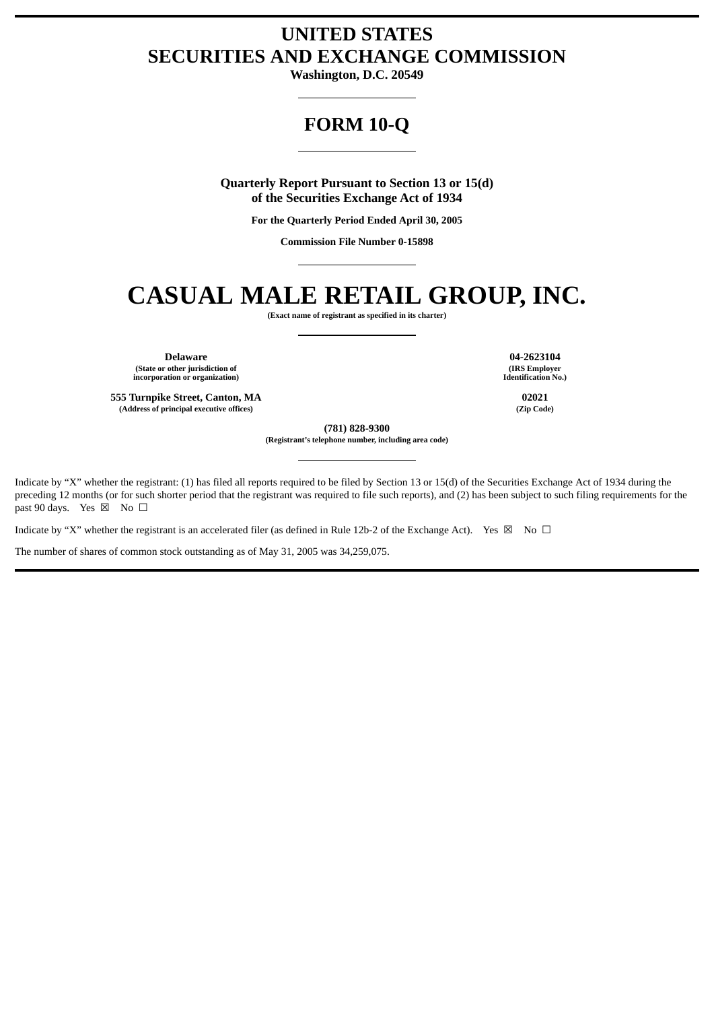# **UNITED STATES SECURITIES AND EXCHANGE COMMISSION**

**Washington, D.C. 20549**

# **FORM 10-Q**

**Quarterly Report Pursuant to Section 13 or 15(d) of the Securities Exchange Act of 1934**

**For the Quarterly Period Ended April 30, 2005**

**Commission File Number 0-15898**

# **CASUAL MALE RETAIL GROUP, INC.**

**(Exact name of registrant as specified in its charter)**

**Delaware 04-2623104 (State or other jurisdiction of incorporation or organization)**

**555 Turnpike Street, Canton, MA 02021 (Address of principal executive offices) (Zip Code)**

**(IRS Employer Identification No.)**

**(781) 828-9300**

**(Registrant's telephone number, including area code)**

Indicate by "X" whether the registrant: (1) has filed all reports required to be filed by Section 13 or 15(d) of the Securities Exchange Act of 1934 during the preceding 12 months (or for such shorter period that the registrant was required to file such reports), and (2) has been subject to such filing requirements for the past 90 days. Yes  $\boxtimes$  No  $\Box$ 

Indicate by "X" whether the registrant is an accelerated filer (as defined in Rule 12b-2 of the Exchange Act). Yes  $\boxtimes$  No  $\Box$ 

The number of shares of common stock outstanding as of May 31, 2005 was 34,259,075.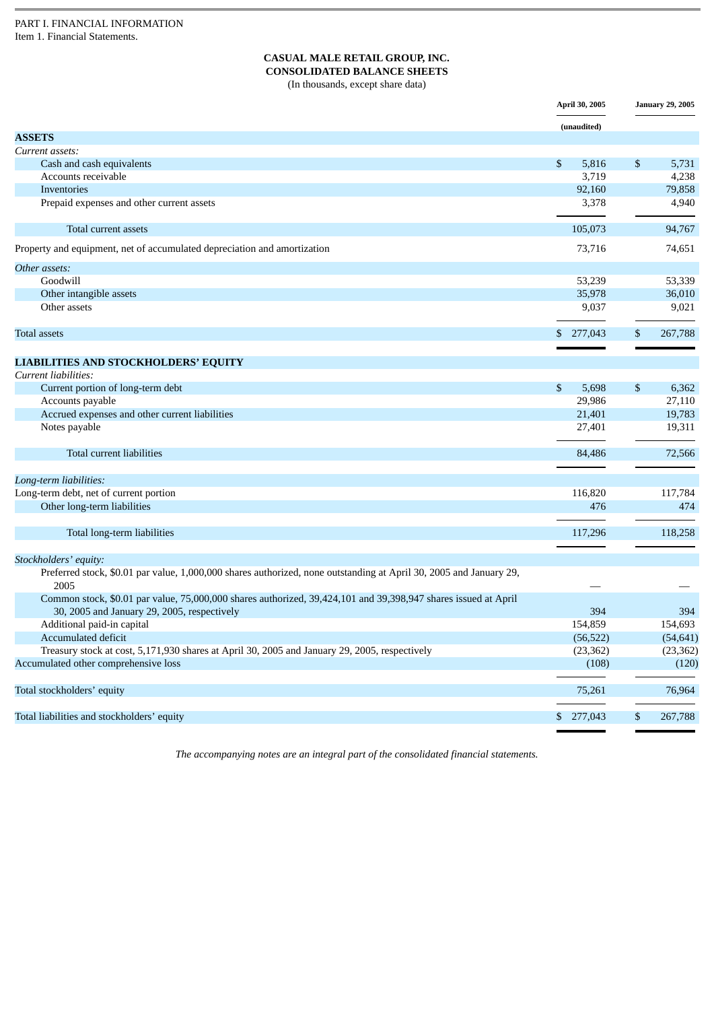# **CASUAL MALE RETAIL GROUP, INC. CONSOLIDATED BALANCE SHEETS**

(In thousands, except share data)

|                                                                                                                            |     | April 30, 2005 |    | <b>January 29, 2005</b> |
|----------------------------------------------------------------------------------------------------------------------------|-----|----------------|----|-------------------------|
|                                                                                                                            |     | (unaudited)    |    |                         |
| <b>ASSETS</b>                                                                                                              |     |                |    |                         |
| Current assets:                                                                                                            |     |                |    |                         |
| Cash and cash equivalents                                                                                                  | \$  | 5,816          | \$ | 5,731                   |
| Accounts receivable                                                                                                        |     | 3,719          |    | 4,238                   |
| Inventories                                                                                                                |     | 92,160         |    | 79,858                  |
| Prepaid expenses and other current assets                                                                                  |     | 3,378          |    | 4,940                   |
| Total current assets                                                                                                       |     | 105,073        |    | 94,767                  |
| Property and equipment, net of accumulated depreciation and amortization                                                   |     | 73,716         |    | 74,651                  |
| Other assets:                                                                                                              |     |                |    |                         |
| Goodwill                                                                                                                   |     | 53,239         |    | 53,339                  |
| Other intangible assets                                                                                                    |     | 35,978         |    | 36,010                  |
| Other assets                                                                                                               |     | 9,037          |    | 9,021                   |
|                                                                                                                            |     |                |    |                         |
| <b>Total assets</b>                                                                                                        | \$. | 277,043        | \$ | 267,788                 |
|                                                                                                                            |     |                |    |                         |
| <b>LIABILITIES AND STOCKHOLDERS' EQUITY</b>                                                                                |     |                |    |                         |
| Current liabilities:                                                                                                       |     |                |    |                         |
| Current portion of long-term debt                                                                                          | \$  | 5,698          | \$ | 6,362                   |
| Accounts payable                                                                                                           |     | 29,986         |    | 27,110                  |
| Accrued expenses and other current liabilities                                                                             |     | 21,401         |    | 19,783                  |
| Notes payable                                                                                                              |     | 27,401         |    | 19,311                  |
| Total current liabilities                                                                                                  |     | 84,486         |    | 72,566                  |
|                                                                                                                            |     |                |    |                         |
| Long-term liabilities:                                                                                                     |     |                |    |                         |
| Long-term debt, net of current portion                                                                                     |     | 116,820        |    | 117,784                 |
| Other long-term liabilities                                                                                                |     | 476            |    | 474                     |
| Total long-term liabilities                                                                                                |     | 117,296        |    | 118,258                 |
|                                                                                                                            |     |                |    |                         |
| Stockholders' equity:                                                                                                      |     |                |    |                         |
| Preferred stock, \$0.01 par value, 1,000,000 shares authorized, none outstanding at April 30, 2005 and January 29,<br>2005 |     |                |    |                         |
| Common stock, \$0.01 par value, 75,000,000 shares authorized, 39,424,101 and 39,398,947 shares issued at April             |     |                |    |                         |
| 30, 2005 and January 29, 2005, respectively                                                                                |     | 394            |    | 394                     |
|                                                                                                                            |     | 154,859        |    | 154,693                 |
| Additional paid-in capital<br>Accumulated deficit                                                                          |     | (56, 522)      |    |                         |
| Treasury stock at cost, 5,171,930 shares at April 30, 2005 and January 29, 2005, respectively                              |     |                |    | (54, 641)               |
| Accumulated other comprehensive loss                                                                                       |     | (23, 362)      |    | (23, 362)               |
|                                                                                                                            |     | (108)          |    | (120)                   |
| Total stockholders' equity                                                                                                 |     | 75,261         |    | 76,964                  |
| Total liabilities and stockholders' equity                                                                                 |     | \$277,043      | \$ | 267,788                 |
|                                                                                                                            |     |                |    |                         |

*The accompanying notes are an integral part of the consolidated financial statements.*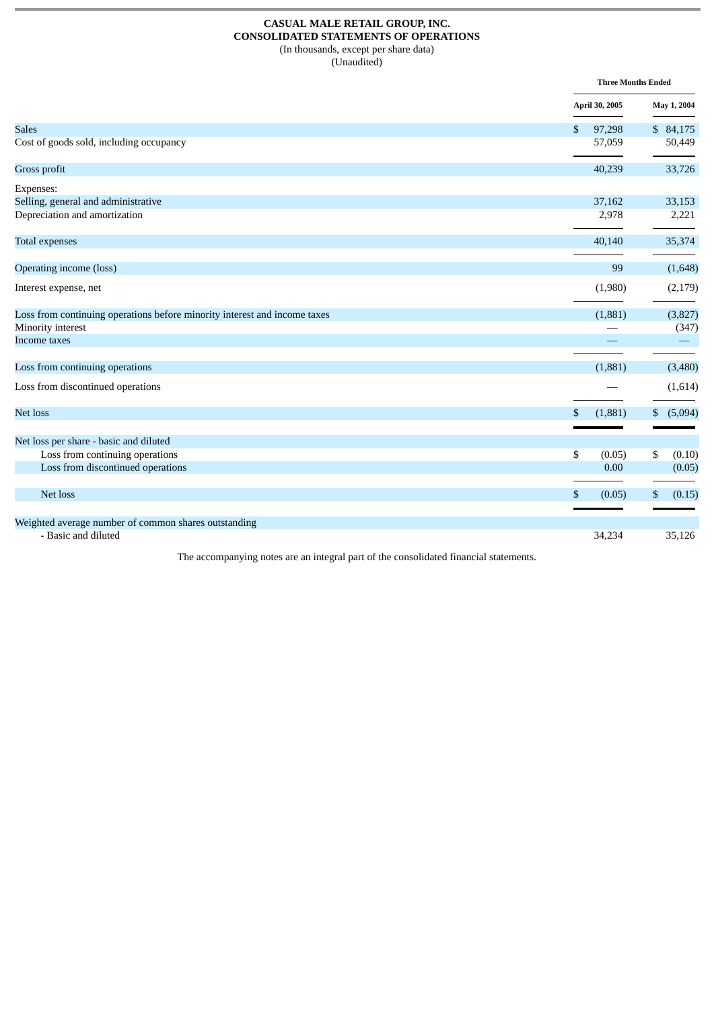# **CASUAL MALE RETAIL GROUP, INC. CONSOLIDATED STATEMENTS OF OPERATIONS** (In thousands, except per share data)

(Unaudited)

|                                                                           |                | <b>Three Months Ended</b> |
|---------------------------------------------------------------------------|----------------|---------------------------|
|                                                                           | April 30, 2005 | May 1, 2004               |
| <b>Sales</b>                                                              | \$<br>97,298   | \$84,175                  |
| Cost of goods sold, including occupancy                                   | 57,059         | 50,449                    |
| Gross profit                                                              | 40,239         | 33,726                    |
| Expenses:                                                                 |                |                           |
| Selling, general and administrative                                       | 37,162         | 33,153                    |
| Depreciation and amortization                                             | 2,978          | 2,221                     |
| <b>Total expenses</b>                                                     | 40,140         | 35,374                    |
|                                                                           |                |                           |
| Operating income (loss)                                                   | 99             | (1,648)                   |
| Interest expense, net                                                     | (1,980)        | (2, 179)                  |
| Loss from continuing operations before minority interest and income taxes | (1,881)        | (3,827)                   |
| Minority interest                                                         |                | (347)                     |
| Income taxes                                                              |                |                           |
| Loss from continuing operations                                           | (1,881)        | (3,480)                   |
| Loss from discontinued operations                                         |                | (1,614)                   |
| Net loss                                                                  | \$<br>(1,881)  | (5,094)                   |
|                                                                           |                |                           |
| Net loss per share - basic and diluted<br>Loss from continuing operations | \$<br>(0.05)   | \$<br>(0.10)              |
| Loss from discontinued operations                                         | 0.00           | (0.05)                    |
|                                                                           |                |                           |
| Net loss                                                                  | \$<br>(0.05)   | \$<br>(0.15)              |
| Weighted average number of common shares outstanding                      |                |                           |
| - Basic and diluted                                                       | 34.234         | 35,126                    |

The accompanying notes are an integral part of the consolidated financial statements.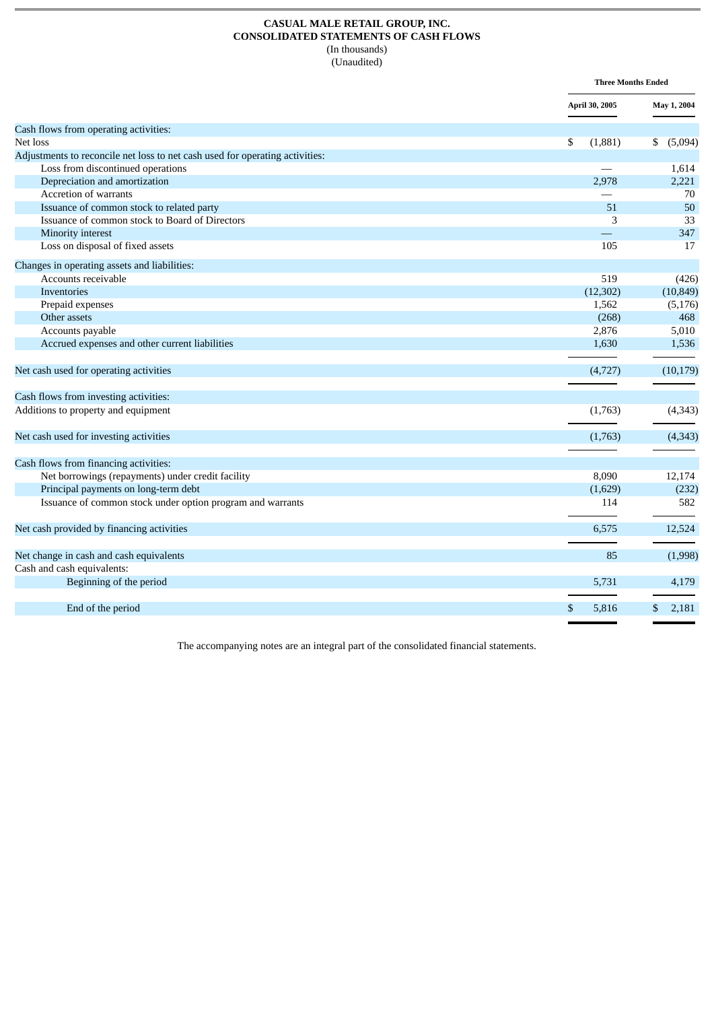## **CASUAL MALE RETAIL GROUP, INC. CONSOLIDATED STATEMENTS OF CASH FLOWS** (In thousands)

(Unaudited)

|                                                                              |                | <b>Three Months Ended</b> |
|------------------------------------------------------------------------------|----------------|---------------------------|
|                                                                              | April 30, 2005 | May 1, 2004               |
| Cash flows from operating activities:                                        |                |                           |
| Net loss                                                                     | \$<br>(1,881)  | $\mathbb{S}$<br>(5,094)   |
| Adjustments to reconcile net loss to net cash used for operating activities: |                |                           |
| Loss from discontinued operations                                            |                | 1,614                     |
| Depreciation and amortization                                                | 2,978          | 2,221                     |
| Accretion of warrants                                                        |                | 70                        |
| Issuance of common stock to related party                                    | 51             | 50                        |
| Issuance of common stock to Board of Directors                               | 3              | 33                        |
| Minority interest                                                            |                | 347                       |
| Loss on disposal of fixed assets                                             | 105            | 17                        |
| Changes in operating assets and liabilities:                                 |                |                           |
| Accounts receivable                                                          | 519            | (426)                     |
| Inventories                                                                  | (12, 302)      | (10, 849)                 |
| Prepaid expenses                                                             | 1,562          | (5, 176)                  |
| Other assets                                                                 | (268)          | 468                       |
| Accounts payable                                                             | 2,876          | 5,010                     |
| Accrued expenses and other current liabilities                               | 1.630          | 1,536                     |
| Net cash used for operating activities                                       | (4, 727)       | (10, 179)                 |
| Cash flows from investing activities:                                        |                |                           |
| Additions to property and equipment                                          | (1,763)        | (4, 343)                  |
| Net cash used for investing activities                                       | (1,763)        | (4, 343)                  |
|                                                                              |                |                           |
| Cash flows from financing activities:                                        |                |                           |
| Net borrowings (repayments) under credit facility                            | 8.090          | 12,174                    |
| Principal payments on long-term debt                                         | (1,629)        | (232)                     |
| Issuance of common stock under option program and warrants                   | 114            | 582                       |
| Net cash provided by financing activities                                    | 6,575          | 12,524                    |
| Net change in cash and cash equivalents                                      | 85             | (1,998)                   |
| Cash and cash equivalents:                                                   |                |                           |
| Beginning of the period                                                      | 5,731          | 4,179                     |
| End of the period                                                            | 5,816<br>\$    | \$<br>2,181               |
|                                                                              |                |                           |

The accompanying notes are an integral part of the consolidated financial statements.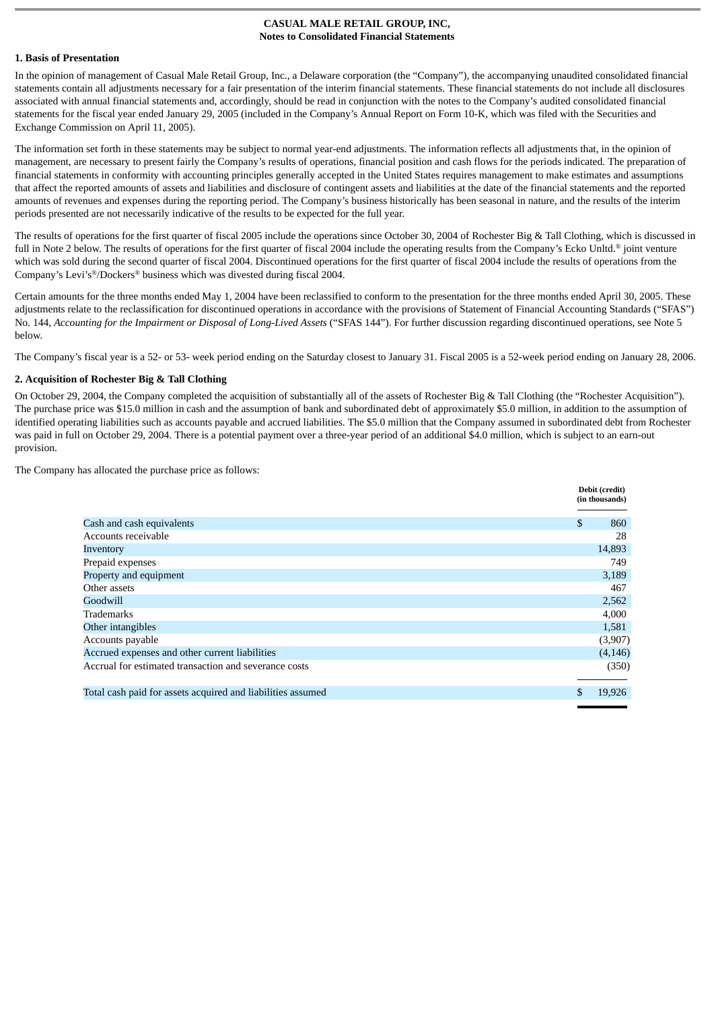#### **CASUAL MALE RETAIL GROUP, INC, Notes to Consolidated Financial Statements**

#### **1. Basis of Presentation**

In the opinion of management of Casual Male Retail Group, Inc., a Delaware corporation (the "Company"), the accompanying unaudited consolidated financial statements contain all adjustments necessary for a fair presentation of the interim financial statements. These financial statements do not include all disclosures associated with annual financial statements and, accordingly, should be read in conjunction with the notes to the Company's audited consolidated financial statements for the fiscal year ended January 29, 2005 (included in the Company's Annual Report on Form 10-K, which was filed with the Securities and Exchange Commission on April 11, 2005).

The information set forth in these statements may be subject to normal year-end adjustments. The information reflects all adjustments that, in the opinion of management, are necessary to present fairly the Company's results of operations, financial position and cash flows for the periods indicated. The preparation of financial statements in conformity with accounting principles generally accepted in the United States requires management to make estimates and assumptions that affect the reported amounts of assets and liabilities and disclosure of contingent assets and liabilities at the date of the financial statements and the reported amounts of revenues and expenses during the reporting period. The Company's business historically has been seasonal in nature, and the results of the interim periods presented are not necessarily indicative of the results to be expected for the full year.

The results of operations for the first quarter of fiscal 2005 include the operations since October 30, 2004 of Rochester Big & Tall Clothing, which is discussed in full in Note 2 below. The results of operations for the first quarter of fiscal 2004 include the operating results from the Company's Ecko Unltd.<sup>®</sup> joint venture which was sold during the second quarter of fiscal 2004. Discontinued operations for the first quarter of fiscal 2004 include the results of operations from the Company's Levi's®/Dockers® business which was divested during fiscal 2004.

Certain amounts for the three months ended May 1, 2004 have been reclassified to conform to the presentation for the three months ended April 30, 2005. These adjustments relate to the reclassification for discontinued operations in accordance with the provisions of Statement of Financial Accounting Standards ("SFAS") No. 144, *Accounting for the Impairment or Disposal of Long-Lived Assets* ("SFAS 144"). For further discussion regarding discontinued operations, see Note 5 below.

The Company's fiscal year is a 52- or 53- week period ending on the Saturday closest to January 31. Fiscal 2005 is a 52-week period ending on January 28, 2006.

# **2. Acquisition of Rochester Big & Tall Clothing**

On October 29, 2004, the Company completed the acquisition of substantially all of the assets of Rochester Big & Tall Clothing (the "Rochester Acquisition"). The purchase price was \$15.0 million in cash and the assumption of bank and subordinated debt of approximately \$5.0 million, in addition to the assumption of identified operating liabilities such as accounts payable and accrued liabilities. The \$5.0 million that the Company assumed in subordinated debt from Rochester was paid in full on October 29, 2004. There is a potential payment over a three-year period of an additional \$4.0 million, which is subject to an earn-out provision.

**Debit (credit)**

The Company has allocated the purchase price as follows:

|                                                             |                | <b>Depit (Credit)</b><br>(in thousands) |
|-------------------------------------------------------------|----------------|-----------------------------------------|
| Cash and cash equivalents                                   | $\mathfrak{S}$ | 860                                     |
| Accounts receivable                                         |                | 28                                      |
| Inventory                                                   |                | 14,893                                  |
| Prepaid expenses                                            |                | 749                                     |
| Property and equipment                                      |                | 3,189                                   |
| Other assets                                                |                | 467                                     |
| Goodwill                                                    |                | 2,562                                   |
| Trademarks                                                  |                | 4,000                                   |
| Other intangibles                                           |                | 1,581                                   |
| Accounts payable                                            |                | (3,907)                                 |
| Accrued expenses and other current liabilities              |                | (4, 146)                                |
| Accrual for estimated transaction and severance costs       |                | (350)                                   |
| Total cash paid for assets acquired and liabilities assumed | \$             | 19,926                                  |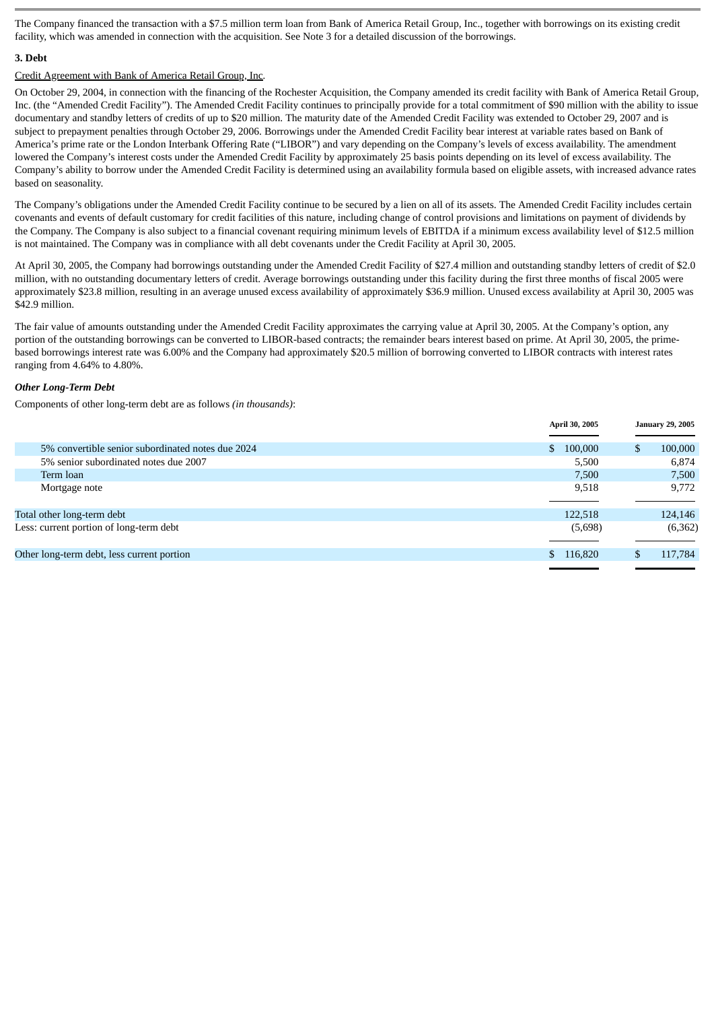The Company financed the transaction with a \$7.5 million term loan from Bank of America Retail Group, Inc., together with borrowings on its existing credit facility, which was amended in connection with the acquisition. See Note 3 for a detailed discussion of the borrowings.

# **3. Debt**

Credit Agreement with Bank of America Retail Group, Inc*.*

On October 29, 2004, in connection with the financing of the Rochester Acquisition, the Company amended its credit facility with Bank of America Retail Group, Inc. (the "Amended Credit Facility"). The Amended Credit Facility continues to principally provide for a total commitment of \$90 million with the ability to issue documentary and standby letters of credits of up to \$20 million. The maturity date of the Amended Credit Facility was extended to October 29, 2007 and is subject to prepayment penalties through October 29, 2006. Borrowings under the Amended Credit Facility bear interest at variable rates based on Bank of America's prime rate or the London Interbank Offering Rate ("LIBOR") and vary depending on the Company's levels of excess availability. The amendment lowered the Company's interest costs under the Amended Credit Facility by approximately 25 basis points depending on its level of excess availability. The Company's ability to borrow under the Amended Credit Facility is determined using an availability formula based on eligible assets, with increased advance rates based on seasonality.

The Company's obligations under the Amended Credit Facility continue to be secured by a lien on all of its assets. The Amended Credit Facility includes certain covenants and events of default customary for credit facilities of this nature, including change of control provisions and limitations on payment of dividends by the Company. The Company is also subject to a financial covenant requiring minimum levels of EBITDA if a minimum excess availability level of \$12.5 million is not maintained. The Company was in compliance with all debt covenants under the Credit Facility at April 30, 2005.

At April 30, 2005, the Company had borrowings outstanding under the Amended Credit Facility of \$27.4 million and outstanding standby letters of credit of \$2.0 million, with no outstanding documentary letters of credit. Average borrowings outstanding under this facility during the first three months of fiscal 2005 were approximately \$23.8 million, resulting in an average unused excess availability of approximately \$36.9 million. Unused excess availability at April 30, 2005 was \$42.9 million.

The fair value of amounts outstanding under the Amended Credit Facility approximates the carrying value at April 30, 2005. At the Company's option, any portion of the outstanding borrowings can be converted to LIBOR-based contracts; the remainder bears interest based on prime. At April 30, 2005, the primebased borrowings interest rate was 6.00% and the Company had approximately \$20.5 million of borrowing converted to LIBOR contracts with interest rates ranging from 4.64% to 4.80%.

#### *Other Long-Term Debt*

Components of other long-term debt are as follows *(in thousands)*:

|                                                   | April 30, 2005 |               | <b>January 29, 2005</b> |
|---------------------------------------------------|----------------|---------------|-------------------------|
| 5% convertible senior subordinated notes due 2024 | \$100,000      | S.            | 100,000                 |
| 5% senior subordinated notes due 2007             | 5,500          |               | 6,874                   |
| Term loan                                         | 7,500          |               | 7,500                   |
| Mortgage note                                     | 9,518          |               | 9.772                   |
|                                                   |                |               |                         |
| Total other long-term debt                        | 122,518        |               | 124,146                 |
| Less: current portion of long-term debt           | (5,698)        |               | (6, 362)                |
|                                                   |                |               |                         |
| Other long-term debt, less current portion        | \$ 116,820     | <sup>\$</sup> | 117,784                 |
|                                                   |                |               |                         |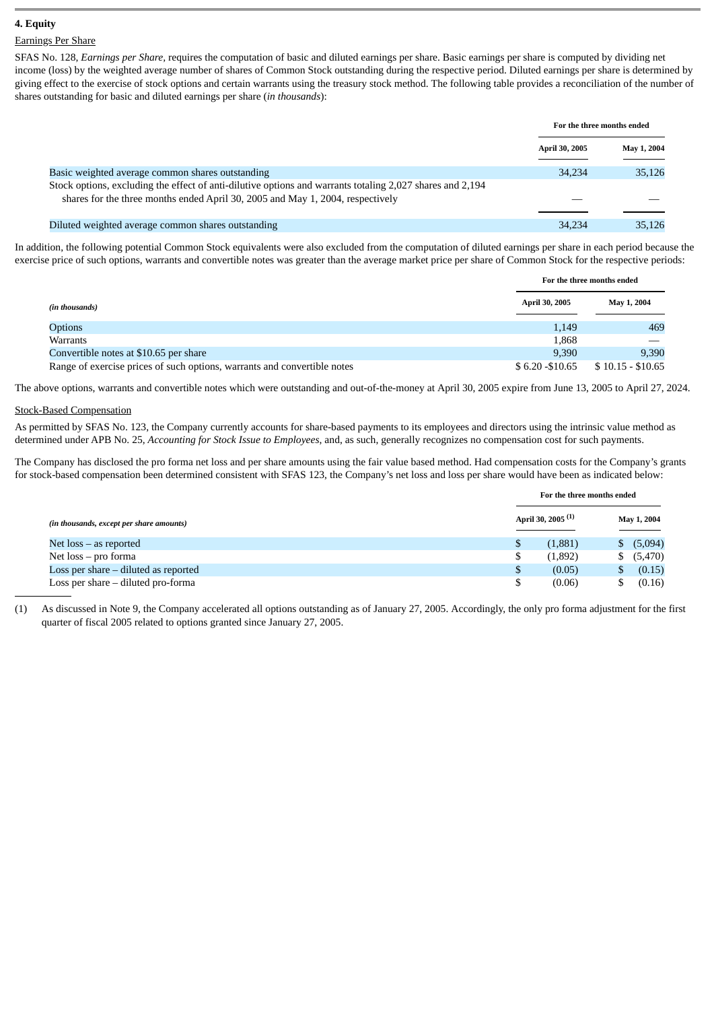# **4. Equity**

### Earnings Per Share

SFAS No. 128, *Earnings per Share,* requires the computation of basic and diluted earnings per share. Basic earnings per share is computed by dividing net income (loss) by the weighted average number of shares of Common Stock outstanding during the respective period. Diluted earnings per share is determined by giving effect to the exercise of stock options and certain warrants using the treasury stock method. The following table provides a reconciliation of the number of shares outstanding for basic and diluted earnings per share (*in thousands*):

|                                                                                                                                                                                             | For the three months ended |             |  |
|---------------------------------------------------------------------------------------------------------------------------------------------------------------------------------------------|----------------------------|-------------|--|
|                                                                                                                                                                                             | April 30, 2005             | May 1, 2004 |  |
| Basic weighted average common shares outstanding                                                                                                                                            | 34,234                     | 35,126      |  |
| Stock options, excluding the effect of anti-dilutive options and warrants totaling 2,027 shares and 2,194<br>shares for the three months ended April 30, 2005 and May 1, 2004, respectively |                            |             |  |
| Diluted weighted average common shares outstanding                                                                                                                                          | 34,234                     | 35,126      |  |

In addition, the following potential Common Stock equivalents were also excluded from the computation of diluted earnings per share in each period because the exercise price of such options, warrants and convertible notes was greater than the average market price per share of Common Stock for the respective periods:

|                                                                          |                       | For the three months ended |
|--------------------------------------------------------------------------|-----------------------|----------------------------|
| (in thousands)                                                           | <b>April 30, 2005</b> | May 1, 2004                |
| Options                                                                  | 1,149                 | 469                        |
| Warrants                                                                 | 1,868                 |                            |
| Convertible notes at \$10.65 per share                                   | 9.390                 | 9,390                      |
| Range of exercise prices of such options, warrants and convertible notes | $$6.20 - $10.65$      | $$10.15 - $10.65$          |

The above options, warrants and convertible notes which were outstanding and out-of-the-money at April 30, 2005 expire from June 13, 2005 to April 27, 2024.

#### Stock-Based Compensation

As permitted by SFAS No. 123, the Company currently accounts for share-based payments to its employees and directors using the intrinsic value method as determined under APB No. 25, *Accounting for Stock Issue to Employees*, and, as such, generally recognizes no compensation cost for such payments.

The Company has disclosed the pro forma net loss and per share amounts using the fair value based method. Had compensation costs for the Company's grants for stock-based compensation been determined consistent with SFAS 123, the Company's net loss and loss per share would have been as indicated below:

|                                          |   | For the three months ended    |  |             |  |  |  |
|------------------------------------------|---|-------------------------------|--|-------------|--|--|--|
| (in thousands, except per share amounts) |   | April 30, 2005 <sup>(1)</sup> |  | May 1, 2004 |  |  |  |
| Net $loss - as$ reported                 | S | (1,881)                       |  | \$ (5,094)  |  |  |  |
| Net $loss - pro$ forma                   |   | (1,892)                       |  | \$ (5,470)  |  |  |  |
| Loss per share $-$ diluted as reported   | S | (0.05)                        |  | (0.15)      |  |  |  |
| Loss per share $-$ diluted pro-forma     |   | (0.06)                        |  | (0.16)      |  |  |  |

(1) As discussed in Note 9, the Company accelerated all options outstanding as of January 27, 2005. Accordingly, the only pro forma adjustment for the first quarter of fiscal 2005 related to options granted since January 27, 2005.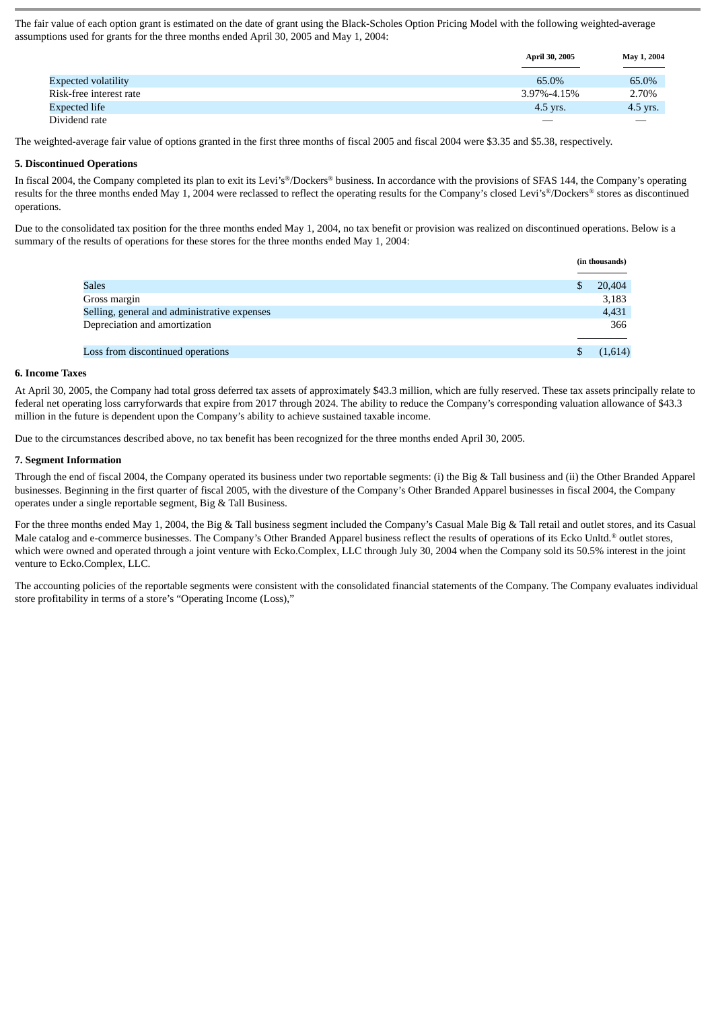The fair value of each option grant is estimated on the date of grant using the Black-Scholes Option Pricing Model with the following weighted-average assumptions used for grants for the three months ended April 30, 2005 and May 1, 2004:

|                            | April 30, 2005 | May 1, 2004 |
|----------------------------|----------------|-------------|
| <b>Expected volatility</b> | 65.0%          | 65.0%       |
| Risk-free interest rate    | 3.97%-4.15%    | 2.70%       |
| Expected life              | 4.5 yrs.       | 4.5 yrs.    |
| Dividend rate              |                |             |

The weighted-average fair value of options granted in the first three months of fiscal 2005 and fiscal 2004 were \$3.35 and \$5.38, respectively.

#### **5. Discontinued Operations**

In fiscal 2004, the Company completed its plan to exit its Levi's®/Dockers® business. In accordance with the provisions of SFAS 144, the Company's operating results for the three months ended May 1, 2004 were reclassed to reflect the operating results for the Company's closed Levi's®/Dockers® stores as discontinued operations.

Due to the consolidated tax position for the three months ended May 1, 2004, no tax benefit or provision was realized on discontinued operations. Below is a summary of the results of operations for these stores for the three months ended May 1, 2004:

|                                              | (in thousands) |         |
|----------------------------------------------|----------------|---------|
|                                              |                |         |
| <b>Sales</b>                                 | \$             | 20,404  |
| Gross margin                                 |                | 3,183   |
| Selling, general and administrative expenses |                | 4,431   |
| Depreciation and amortization                |                | 366     |
| Loss from discontinued operations            | \$             | (1,614) |

#### **6. Income Taxes**

At April 30, 2005, the Company had total gross deferred tax assets of approximately \$43.3 million, which are fully reserved. These tax assets principally relate to federal net operating loss carryforwards that expire from 2017 through 2024. The ability to reduce the Company's corresponding valuation allowance of \$43.3 million in the future is dependent upon the Company's ability to achieve sustained taxable income.

Due to the circumstances described above, no tax benefit has been recognized for the three months ended April 30, 2005.

#### **7. Segment Information**

Through the end of fiscal 2004, the Company operated its business under two reportable segments: (i) the Big & Tall business and (ii) the Other Branded Apparel businesses. Beginning in the first quarter of fiscal 2005, with the divesture of the Company's Other Branded Apparel businesses in fiscal 2004, the Company operates under a single reportable segment, Big & Tall Business.

For the three months ended May 1, 2004, the Big & Tall business segment included the Company's Casual Male Big & Tall retail and outlet stores, and its Casual Male catalog and e-commerce businesses. The Company's Other Branded Apparel business reflect the results of operations of its Ecko Unltd.<sup>®</sup> outlet stores, which were owned and operated through a joint venture with Ecko.Complex, LLC through July 30, 2004 when the Company sold its 50.5% interest in the joint venture to Ecko.Complex, LLC.

The accounting policies of the reportable segments were consistent with the consolidated financial statements of the Company. The Company evaluates individual store profitability in terms of a store's "Operating Income (Loss),"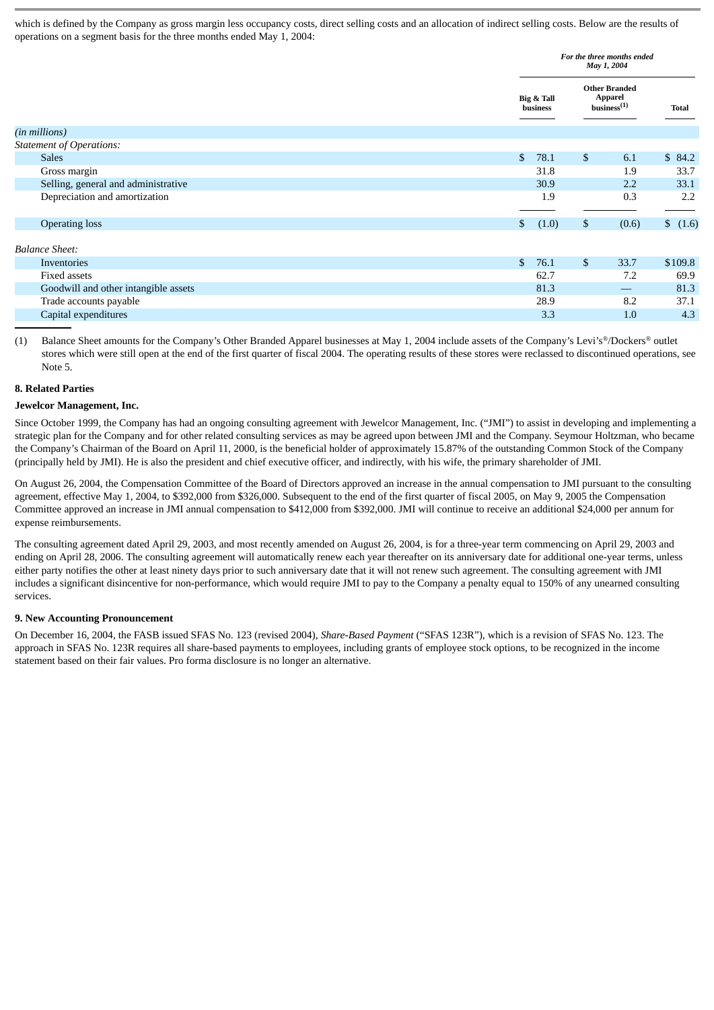which is defined by the Company as gross margin less occupancy costs, direct selling costs and an allocation of indirect selling costs. Below are the results of operations on a segment basis for the three months ended May 1, 2004:

|                                      | For the three months ended<br>May 1, 2004 |                        |    |                                                                   |              |
|--------------------------------------|-------------------------------------------|------------------------|----|-------------------------------------------------------------------|--------------|
|                                      |                                           | Big & Tall<br>business |    | <b>Other Branded</b><br><b>Apparel</b><br>business <sup>(1)</sup> | <b>Total</b> |
| (in millions)                        |                                           |                        |    |                                                                   |              |
| <b>Statement of Operations:</b>      |                                           |                        |    |                                                                   |              |
| <b>Sales</b>                         | \$                                        | 78.1                   | \$ | 6.1                                                               | \$84.2       |
| Gross margin                         |                                           | 31.8                   |    | 1.9                                                               | 33.7         |
| Selling, general and administrative  |                                           | 30.9                   |    | 2.2                                                               | 33.1         |
| Depreciation and amortization        |                                           | 1.9                    |    | 0.3                                                               | 2.2          |
| <b>Operating loss</b>                | \$                                        | (1.0)                  | \$ | (0.6)                                                             | \$ (1.6)     |
| <b>Balance Sheet:</b>                |                                           |                        |    |                                                                   |              |
| Inventories                          | \$                                        | 76.1                   | \$ | 33.7                                                              | \$109.8      |
| Fixed assets                         |                                           | 62.7                   |    | 7.2                                                               | 69.9         |
| Goodwill and other intangible assets |                                           | 81.3                   |    |                                                                   | 81.3         |
| Trade accounts payable               |                                           | 28.9                   |    | 8.2                                                               | 37.1         |
| Capital expenditures                 |                                           | 3.3                    |    | 1.0                                                               | 4.3          |

(1) Balance Sheet amounts for the Company's Other Branded Apparel businesses at May 1, 2004 include assets of the Company's Levi's®/Dockers® outlet stores which were still open at the end of the first quarter of fiscal 2004. The operating results of these stores were reclassed to discontinued operations, see Note 5.

# **8. Related Parties**

#### **Jewelcor Management, Inc.**

Since October 1999, the Company has had an ongoing consulting agreement with Jewelcor Management, Inc. ("JMI") to assist in developing and implementing a strategic plan for the Company and for other related consulting services as may be agreed upon between JMI and the Company. Seymour Holtzman, who became the Company's Chairman of the Board on April 11, 2000, is the beneficial holder of approximately 15.87% of the outstanding Common Stock of the Company (principally held by JMI). He is also the president and chief executive officer, and indirectly, with his wife, the primary shareholder of JMI.

On August 26, 2004, the Compensation Committee of the Board of Directors approved an increase in the annual compensation to JMI pursuant to the consulting agreement, effective May 1, 2004, to \$392,000 from \$326,000. Subsequent to the end of the first quarter of fiscal 2005, on May 9, 2005 the Compensation Committee approved an increase in JMI annual compensation to \$412,000 from \$392,000. JMI will continue to receive an additional \$24,000 per annum for expense reimbursements.

The consulting agreement dated April 29, 2003, and most recently amended on August 26, 2004, is for a three-year term commencing on April 29, 2003 and ending on April 28, 2006. The consulting agreement will automatically renew each year thereafter on its anniversary date for additional one-year terms, unless either party notifies the other at least ninety days prior to such anniversary date that it will not renew such agreement. The consulting agreement with JMI includes a significant disincentive for non-performance, which would require JMI to pay to the Company a penalty equal to 150% of any unearned consulting services.

#### **9. New Accounting Pronouncement**

On December 16, 2004, the FASB issued SFAS No. 123 (revised 2004), *Share-Based Payment* ("SFAS 123R"), which is a revision of SFAS No. 123. The approach in SFAS No. 123R requires all share-based payments to employees, including grants of employee stock options, to be recognized in the income statement based on their fair values. Pro forma disclosure is no longer an alternative.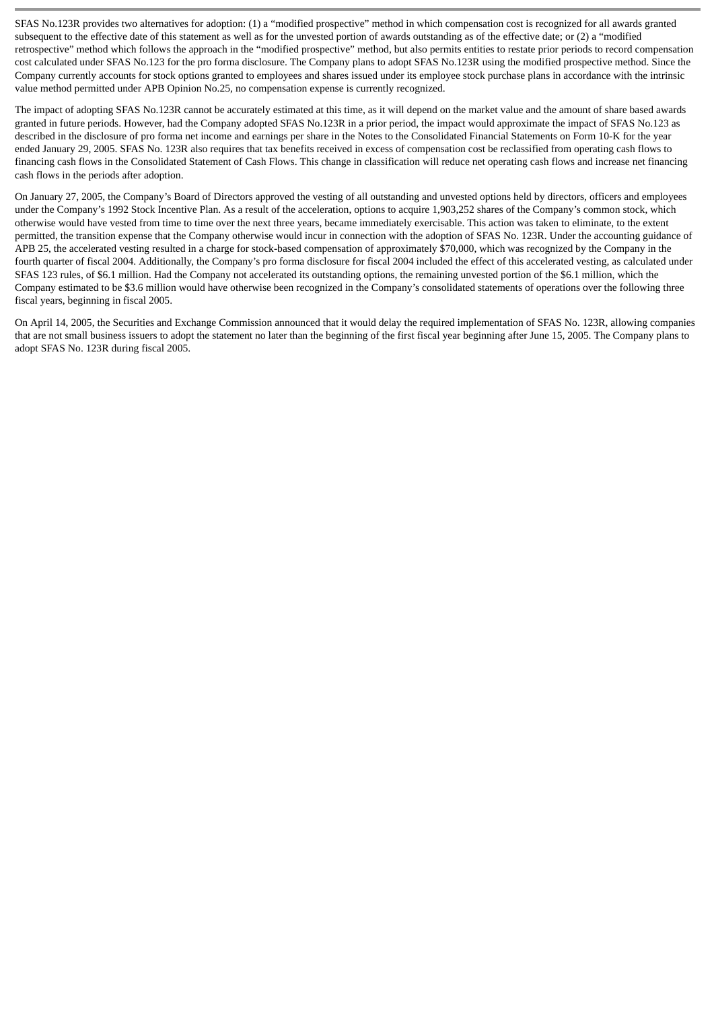SFAS No.123R provides two alternatives for adoption: (1) a "modified prospective" method in which compensation cost is recognized for all awards granted subsequent to the effective date of this statement as well as for the unvested portion of awards outstanding as of the effective date; or (2) a "modified retrospective" method which follows the approach in the "modified prospective" method, but also permits entities to restate prior periods to record compensation cost calculated under SFAS No.123 for the pro forma disclosure. The Company plans to adopt SFAS No.123R using the modified prospective method. Since the Company currently accounts for stock options granted to employees and shares issued under its employee stock purchase plans in accordance with the intrinsic value method permitted under APB Opinion No.25, no compensation expense is currently recognized.

The impact of adopting SFAS No.123R cannot be accurately estimated at this time, as it will depend on the market value and the amount of share based awards granted in future periods. However, had the Company adopted SFAS No.123R in a prior period, the impact would approximate the impact of SFAS No.123 as described in the disclosure of pro forma net income and earnings per share in the Notes to the Consolidated Financial Statements on Form 10-K for the year ended January 29, 2005. SFAS No. 123R also requires that tax benefits received in excess of compensation cost be reclassified from operating cash flows to financing cash flows in the Consolidated Statement of Cash Flows. This change in classification will reduce net operating cash flows and increase net financing cash flows in the periods after adoption.

On January 27, 2005, the Company's Board of Directors approved the vesting of all outstanding and unvested options held by directors, officers and employees under the Company's 1992 Stock Incentive Plan. As a result of the acceleration, options to acquire 1,903,252 shares of the Company's common stock, which otherwise would have vested from time to time over the next three years, became immediately exercisable. This action was taken to eliminate, to the extent permitted, the transition expense that the Company otherwise would incur in connection with the adoption of SFAS No. 123R. Under the accounting guidance of APB 25, the accelerated vesting resulted in a charge for stock-based compensation of approximately \$70,000, which was recognized by the Company in the fourth quarter of fiscal 2004. Additionally, the Company's pro forma disclosure for fiscal 2004 included the effect of this accelerated vesting, as calculated under SFAS 123 rules, of \$6.1 million. Had the Company not accelerated its outstanding options, the remaining unvested portion of the \$6.1 million, which the Company estimated to be \$3.6 million would have otherwise been recognized in the Company's consolidated statements of operations over the following three fiscal years, beginning in fiscal 2005.

On April 14, 2005, the Securities and Exchange Commission announced that it would delay the required implementation of SFAS No. 123R, allowing companies that are not small business issuers to adopt the statement no later than the beginning of the first fiscal year beginning after June 15, 2005. The Company plans to adopt SFAS No. 123R during fiscal 2005.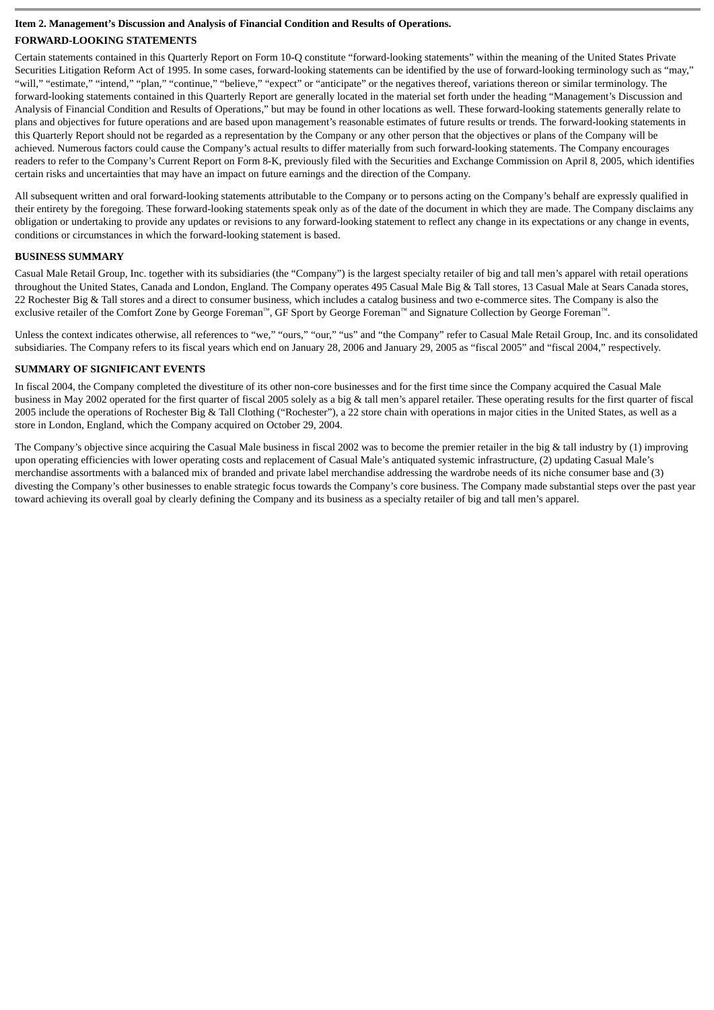# **Item 2. Management's Discussion and Analysis of Financial Condition and Results of Operations. FORWARD-LOOKING STATEMENTS**

Certain statements contained in this Quarterly Report on Form 10-Q constitute "forward-looking statements" within the meaning of the United States Private Securities Litigation Reform Act of 1995. In some cases, forward-looking statements can be identified by the use of forward-looking terminology such as "may," "will," "estimate," "intend," "plan," "continue," "believe," "expect" or "anticipate" or the negatives thereof, variations thereon or similar terminology. The forward-looking statements contained in this Quarterly Report are generally located in the material set forth under the heading "Management's Discussion and Analysis of Financial Condition and Results of Operations," but may be found in other locations as well. These forward-looking statements generally relate to plans and objectives for future operations and are based upon management's reasonable estimates of future results or trends. The forward-looking statements in this Quarterly Report should not be regarded as a representation by the Company or any other person that the objectives or plans of the Company will be achieved. Numerous factors could cause the Company's actual results to differ materially from such forward-looking statements. The Company encourages readers to refer to the Company's Current Report on Form 8-K, previously filed with the Securities and Exchange Commission on April 8, 2005, which identifies certain risks and uncertainties that may have an impact on future earnings and the direction of the Company.

All subsequent written and oral forward-looking statements attributable to the Company or to persons acting on the Company's behalf are expressly qualified in their entirety by the foregoing. These forward-looking statements speak only as of the date of the document in which they are made. The Company disclaims any obligation or undertaking to provide any updates or revisions to any forward-looking statement to reflect any change in its expectations or any change in events, conditions or circumstances in which the forward-looking statement is based.

# **BUSINESS SUMMARY**

Casual Male Retail Group, Inc. together with its subsidiaries (the "Company") is the largest specialty retailer of big and tall men's apparel with retail operations throughout the United States, Canada and London, England. The Company operates 495 Casual Male Big & Tall stores, 13 Casual Male at Sears Canada stores, 22 Rochester Big & Tall stores and a direct to consumer business, which includes a catalog business and two e-commerce sites. The Company is also the exclusive retailer of the Comfort Zone by George Foreman™, GF Sport by George Foreman™ and Signature Collection by George Foreman™.

Unless the context indicates otherwise, all references to "we," "ours," "our," "us" and "the Company" refer to Casual Male Retail Group, Inc. and its consolidated subsidiaries. The Company refers to its fiscal years which end on January 28, 2006 and January 29, 2005 as "fiscal 2005" and "fiscal 2004," respectively.

# **SUMMARY OF SIGNIFICANT EVENTS**

In fiscal 2004, the Company completed the divestiture of its other non-core businesses and for the first time since the Company acquired the Casual Male business in May 2002 operated for the first quarter of fiscal 2005 solely as a big & tall men's apparel retailer. These operating results for the first quarter of fiscal 2005 include the operations of Rochester Big & Tall Clothing ("Rochester"), a 22 store chain with operations in major cities in the United States, as well as a store in London, England, which the Company acquired on October 29, 2004.

The Company's objective since acquiring the Casual Male business in fiscal 2002 was to become the premier retailer in the big & tall industry by (1) improving upon operating efficiencies with lower operating costs and replacement of Casual Male's antiquated systemic infrastructure, (2) updating Casual Male's merchandise assortments with a balanced mix of branded and private label merchandise addressing the wardrobe needs of its niche consumer base and (3) divesting the Company's other businesses to enable strategic focus towards the Company's core business. The Company made substantial steps over the past year toward achieving its overall goal by clearly defining the Company and its business as a specialty retailer of big and tall men's apparel.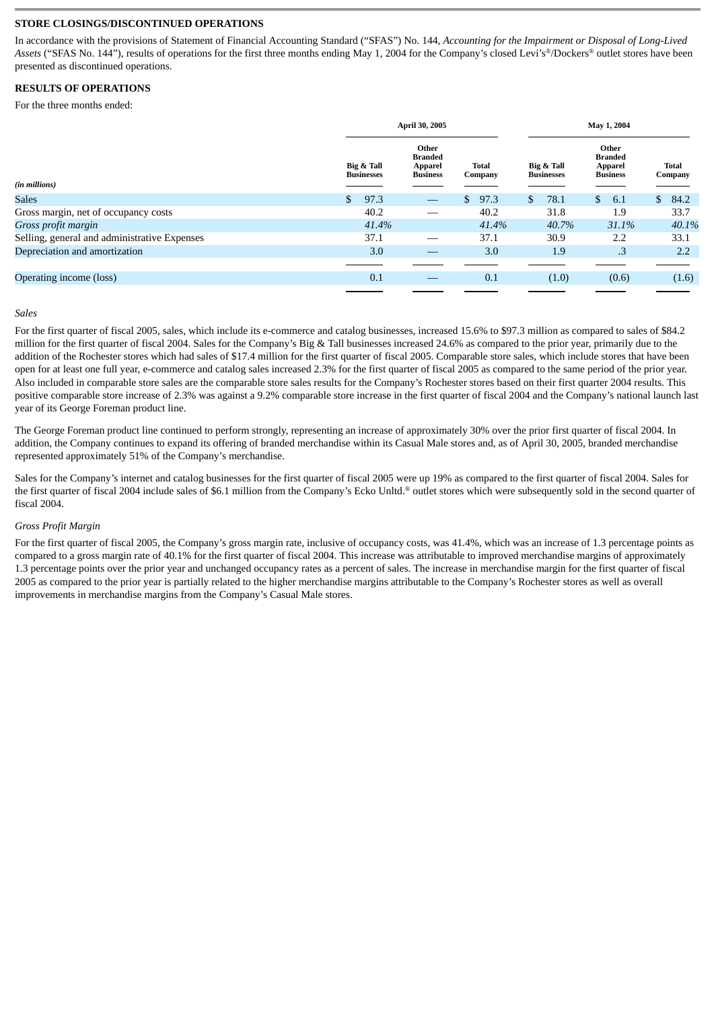#### **STORE CLOSINGS/DISCONTINUED OPERATIONS**

In accordance with the provisions of Statement of Financial Accounting Standard ("SFAS") No. 144, *Accounting for the Impairment or Disposal of Long-Lived Assets* ("SFAS No. 144"), results of operations for the first three months ending May 1, 2004 for the Company's closed Levi's®/Dockers® outlet stores have been presented as discontinued operations.

#### **RESULTS OF OPERATIONS**

For the three months ended:

|                                              |                                 | April 30, 2005                                        |                         |                                 | May 1, 2004                                           |                         |  |  |
|----------------------------------------------|---------------------------------|-------------------------------------------------------|-------------------------|---------------------------------|-------------------------------------------------------|-------------------------|--|--|
| (in millions)                                | Big & Tall<br><b>Businesses</b> | Other<br><b>Branded</b><br>Apparel<br><b>Business</b> | <b>Total</b><br>Company | Big & Tall<br><b>Businesses</b> | Other<br><b>Branded</b><br>Apparel<br><b>Business</b> | <b>Total</b><br>Company |  |  |
|                                              |                                 |                                                       |                         |                                 |                                                       |                         |  |  |
| <b>Sales</b>                                 | 97.3<br>\$.                     |                                                       | 97.3<br>\$              | 78.1<br>\$                      | \$<br>6.1                                             | \$84.2                  |  |  |
| Gross margin, net of occupancy costs         | 40.2                            |                                                       | 40.2                    | 31.8                            | 1.9                                                   | 33.7                    |  |  |
| Gross profit margin                          | 41.4%                           |                                                       | 41.4%                   | 40.7%                           | 31.1%                                                 | 40.1%                   |  |  |
| Selling, general and administrative Expenses | 37.1                            |                                                       | 37.1                    | 30.9                            | 2.2                                                   | 33.1                    |  |  |
| Depreciation and amortization                | 3.0                             |                                                       | 3.0                     | 1.9                             | .3                                                    | 2.2                     |  |  |
|                                              |                                 |                                                       |                         |                                 |                                                       |                         |  |  |
| Operating income (loss)                      | 0.1                             |                                                       | 0.1                     | (1.0)                           | (0.6)                                                 | (1.6)                   |  |  |
|                                              |                                 |                                                       |                         |                                 |                                                       |                         |  |  |

#### *Sales*

For the first quarter of fiscal 2005, sales, which include its e-commerce and catalog businesses, increased 15.6% to \$97.3 million as compared to sales of \$84.2 million for the first quarter of fiscal 2004. Sales for the Company's Big & Tall businesses increased 24.6% as compared to the prior year, primarily due to the addition of the Rochester stores which had sales of \$17.4 million for the first quarter of fiscal 2005. Comparable store sales, which include stores that have been open for at least one full year, e-commerce and catalog sales increased 2.3% for the first quarter of fiscal 2005 as compared to the same period of the prior year. Also included in comparable store sales are the comparable store sales results for the Company's Rochester stores based on their first quarter 2004 results. This positive comparable store increase of 2.3% was against a 9.2% comparable store increase in the first quarter of fiscal 2004 and the Company's national launch last year of its George Foreman product line.

The George Foreman product line continued to perform strongly, representing an increase of approximately 30% over the prior first quarter of fiscal 2004. In addition, the Company continues to expand its offering of branded merchandise within its Casual Male stores and, as of April 30, 2005, branded merchandise represented approximately 51% of the Company's merchandise.

Sales for the Company's internet and catalog businesses for the first quarter of fiscal 2005 were up 19% as compared to the first quarter of fiscal 2004. Sales for the first quarter of fiscal 2004 include sales of \$6.1 million from the Company's Ecko Unltd.<sup>®</sup> outlet stores which were subsequently sold in the second quarter of fiscal 2004.

#### *Gross Profit Margin*

For the first quarter of fiscal 2005, the Company's gross margin rate, inclusive of occupancy costs, was 41.4%, which was an increase of 1.3 percentage points as compared to a gross margin rate of 40.1% for the first quarter of fiscal 2004. This increase was attributable to improved merchandise margins of approximately 1.3 percentage points over the prior year and unchanged occupancy rates as a percent of sales. The increase in merchandise margin for the first quarter of fiscal 2005 as compared to the prior year is partially related to the higher merchandise margins attributable to the Company's Rochester stores as well as overall improvements in merchandise margins from the Company's Casual Male stores.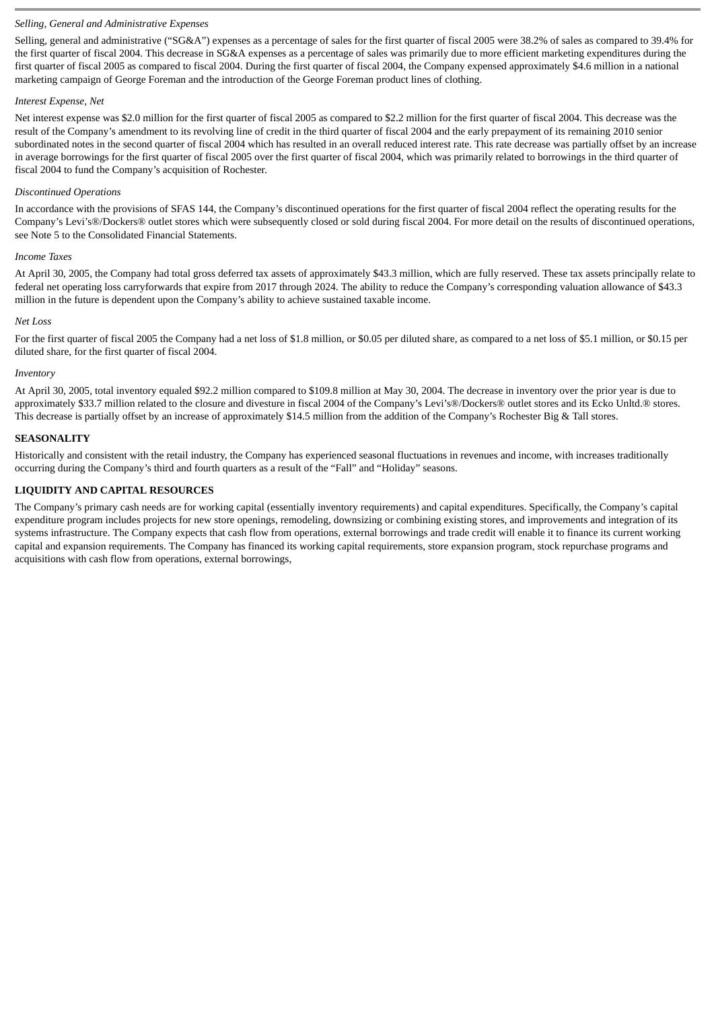## *Selling, General and Administrative Expenses*

Selling, general and administrative ("SG&A") expenses as a percentage of sales for the first quarter of fiscal 2005 were 38.2% of sales as compared to 39.4% for the first quarter of fiscal 2004. This decrease in SG&A expenses as a percentage of sales was primarily due to more efficient marketing expenditures during the first quarter of fiscal 2005 as compared to fiscal 2004. During the first quarter of fiscal 2004, the Company expensed approximately \$4.6 million in a national marketing campaign of George Foreman and the introduction of the George Foreman product lines of clothing.

#### *Interest Expense, Net*

Net interest expense was \$2.0 million for the first quarter of fiscal 2005 as compared to \$2.2 million for the first quarter of fiscal 2004. This decrease was the result of the Company's amendment to its revolving line of credit in the third quarter of fiscal 2004 and the early prepayment of its remaining 2010 senior subordinated notes in the second quarter of fiscal 2004 which has resulted in an overall reduced interest rate. This rate decrease was partially offset by an increase in average borrowings for the first quarter of fiscal 2005 over the first quarter of fiscal 2004, which was primarily related to borrowings in the third quarter of fiscal 2004 to fund the Company's acquisition of Rochester.

# *Discontinued Operations*

In accordance with the provisions of SFAS 144, the Company's discontinued operations for the first quarter of fiscal 2004 reflect the operating results for the Company's Levi's®/Dockers® outlet stores which were subsequently closed or sold during fiscal 2004. For more detail on the results of discontinued operations, see Note 5 to the Consolidated Financial Statements.

# *Income Taxes*

At April 30, 2005, the Company had total gross deferred tax assets of approximately \$43.3 million, which are fully reserved. These tax assets principally relate to federal net operating loss carryforwards that expire from 2017 through 2024. The ability to reduce the Company's corresponding valuation allowance of \$43.3 million in the future is dependent upon the Company's ability to achieve sustained taxable income.

# *Net Loss*

For the first quarter of fiscal 2005 the Company had a net loss of \$1.8 million, or \$0.05 per diluted share, as compared to a net loss of \$5.1 million, or \$0.15 per diluted share, for the first quarter of fiscal 2004.

# *Inventory*

At April 30, 2005, total inventory equaled \$92.2 million compared to \$109.8 million at May 30, 2004. The decrease in inventory over the prior year is due to approximately \$33.7 million related to the closure and divesture in fiscal 2004 of the Company's Levi's®/Dockers® outlet stores and its Ecko Unltd.® stores. This decrease is partially offset by an increase of approximately \$14.5 million from the addition of the Company's Rochester Big & Tall stores.

# **SEASONALITY**

Historically and consistent with the retail industry, the Company has experienced seasonal fluctuations in revenues and income, with increases traditionally occurring during the Company's third and fourth quarters as a result of the "Fall" and "Holiday" seasons.

# **LIQUIDITY AND CAPITAL RESOURCES**

The Company's primary cash needs are for working capital (essentially inventory requirements) and capital expenditures. Specifically, the Company's capital expenditure program includes projects for new store openings, remodeling, downsizing or combining existing stores, and improvements and integration of its systems infrastructure. The Company expects that cash flow from operations, external borrowings and trade credit will enable it to finance its current working capital and expansion requirements. The Company has financed its working capital requirements, store expansion program, stock repurchase programs and acquisitions with cash flow from operations, external borrowings,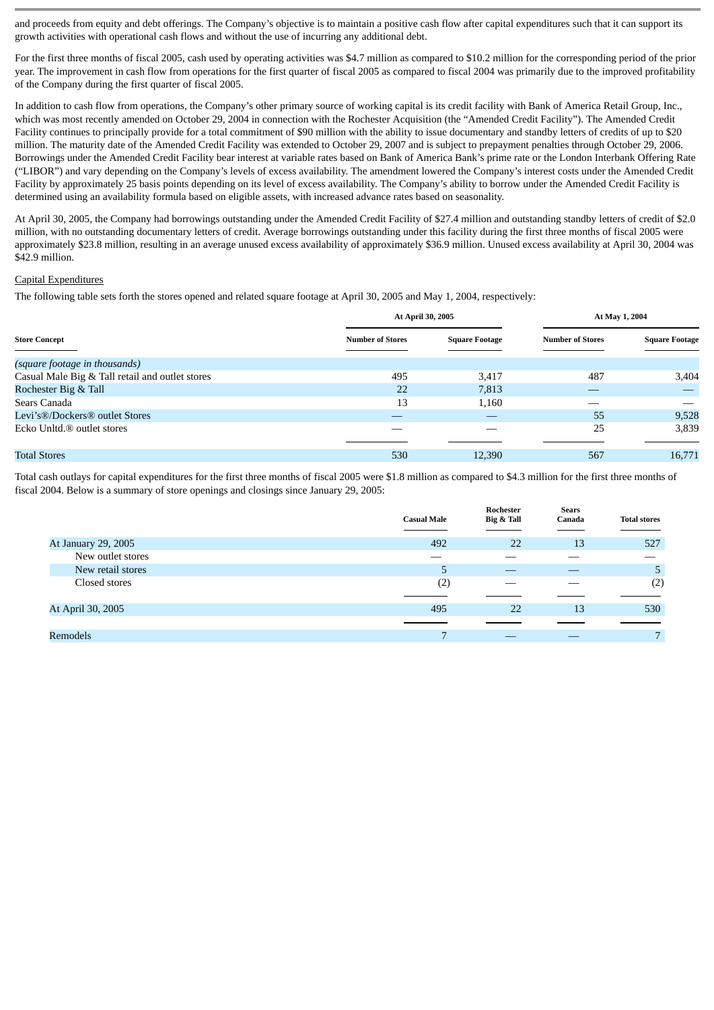and proceeds from equity and debt offerings. The Company's objective is to maintain a positive cash flow after capital expenditures such that it can support its growth activities with operational cash flows and without the use of incurring any additional debt.

For the first three months of fiscal 2005, cash used by operating activities was \$4.7 million as compared to \$10.2 million for the corresponding period of the prior year. The improvement in cash flow from operations for the first quarter of fiscal 2005 as compared to fiscal 2004 was primarily due to the improved profitability of the Company during the first quarter of fiscal 2005.

In addition to cash flow from operations, the Company's other primary source of working capital is its credit facility with Bank of America Retail Group, Inc., which was most recently amended on October 29, 2004 in connection with the Rochester Acquisition (the "Amended Credit Facility"). The Amended Credit Facility continues to principally provide for a total commitment of \$90 million with the ability to issue documentary and standby letters of credits of up to \$20 million. The maturity date of the Amended Credit Facility was extended to October 29, 2007 and is subject to prepayment penalties through October 29, 2006. Borrowings under the Amended Credit Facility bear interest at variable rates based on Bank of America Bank's prime rate or the London Interbank Offering Rate ("LIBOR") and vary depending on the Company's levels of excess availability. The amendment lowered the Company's interest costs under the Amended Credit Facility by approximately 25 basis points depending on its level of excess availability. The Company's ability to borrow under the Amended Credit Facility is determined using an availability formula based on eligible assets, with increased advance rates based on seasonality.

At April 30, 2005, the Company had borrowings outstanding under the Amended Credit Facility of \$27.4 million and outstanding standby letters of credit of \$2.0 million, with no outstanding documentary letters of credit. Average borrowings outstanding under this facility during the first three months of fiscal 2005 were approximately \$23.8 million, resulting in an average unused excess availability of approximately \$36.9 million. Unused excess availability at April 30, 2004 was \$42.9 million.

#### Capital Expenditures

The following table sets forth the stores opened and related square footage at April 30, 2005 and May 1, 2004, respectively:

|                                                 | At April 30, 2005       |                       |                         | At May 1, 2004        |  |
|-------------------------------------------------|-------------------------|-----------------------|-------------------------|-----------------------|--|
| <b>Store Concept</b>                            | <b>Number of Stores</b> | <b>Square Footage</b> | <b>Number of Stores</b> | <b>Square Footage</b> |  |
| (square footage in thousands)                   |                         |                       |                         |                       |  |
| Casual Male Big & Tall retail and outlet stores | 495                     | 3.417                 | 487                     | 3,404                 |  |
| Rochester Big & Tall                            | 22                      | 7,813                 |                         |                       |  |
| Sears Canada                                    | 13                      | 1,160                 |                         |                       |  |
| Levi's®/Dockers® outlet Stores                  |                         |                       | 55                      | 9,528                 |  |
| Ecko Unltd. <sup>®</sup> outlet stores          |                         |                       | 25                      | 3,839                 |  |
|                                                 |                         |                       |                         |                       |  |
| <b>Total Stores</b>                             | 530                     | 12,390                | 567                     | 16,771                |  |

Total cash outlays for capital expenditures for the first three months of fiscal 2005 were \$1.8 million as compared to \$4.3 million for the first three months of fiscal 2004. Below is a summary of store openings and closings since January 29, 2005:

| <b>Casual Male</b> | Rochester<br>Big & Tall | <b>Sears</b><br>Canada | <b>Total stores</b> |
|--------------------|-------------------------|------------------------|---------------------|
|                    |                         |                        |                     |
| 492                | 22                      | 13                     | 527                 |
|                    |                         |                        |                     |
| 5                  |                         |                        | 5                   |
| (2)                |                         |                        | (2)                 |
|                    |                         |                        |                     |
| 495                | 22                      | 13                     | 530                 |
|                    |                         |                        |                     |
| 7                  |                         |                        |                     |
|                    |                         |                        |                     |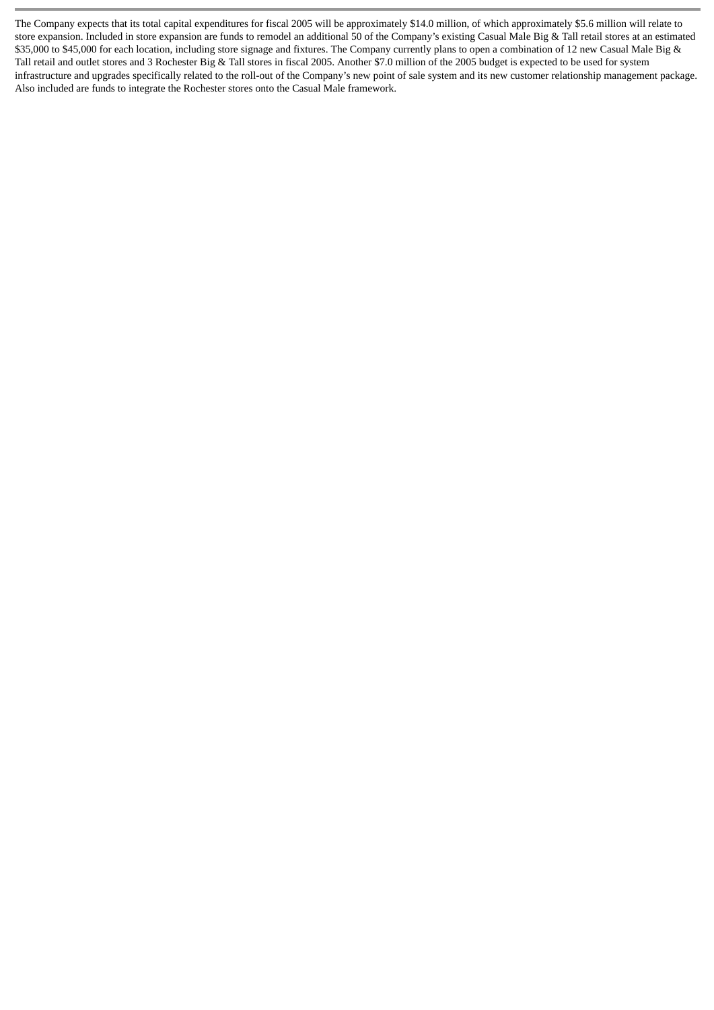The Company expects that its total capital expenditures for fiscal 2005 will be approximately \$14.0 million, of which approximately \$5.6 million will relate to store expansion. Included in store expansion are funds to remodel an additional 50 of the Company's existing Casual Male Big & Tall retail stores at an estimated \$35,000 to \$45,000 for each location, including store signage and fixtures. The Company currently plans to open a combination of 12 new Casual Male Big & Tall retail and outlet stores and 3 Rochester Big & Tall stores in fiscal 2005. Another \$7.0 million of the 2005 budget is expected to be used for system infrastructure and upgrades specifically related to the roll-out of the Company's new point of sale system and its new customer relationship management package. Also included are funds to integrate the Rochester stores onto the Casual Male framework.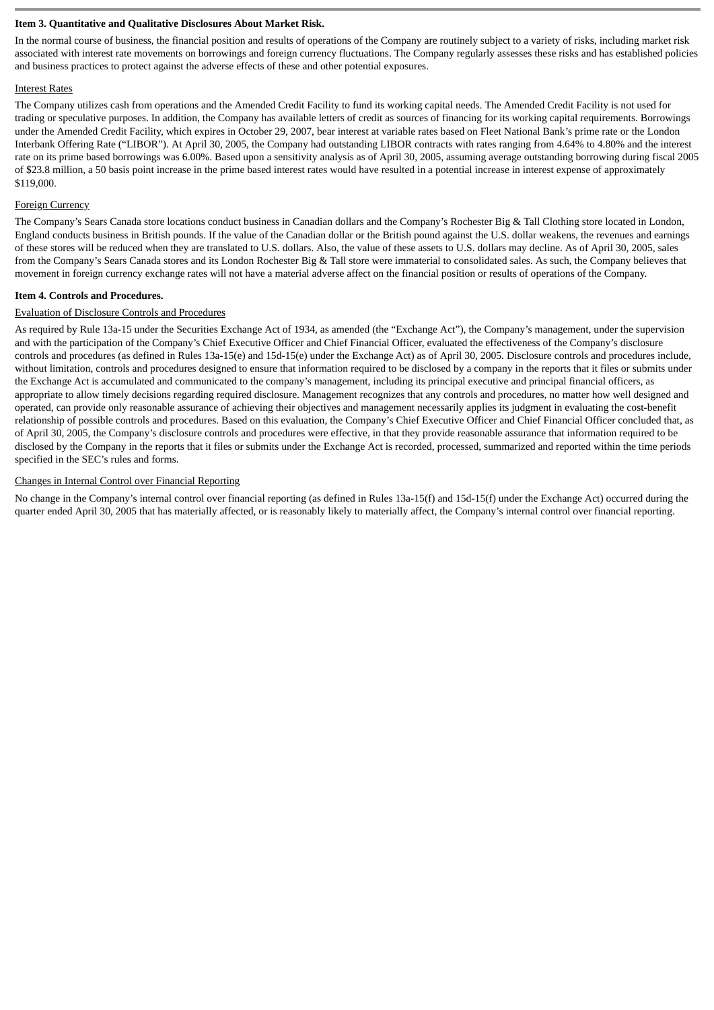## **Item 3. Quantitative and Qualitative Disclosures About Market Risk.**

In the normal course of business, the financial position and results of operations of the Company are routinely subject to a variety of risks, including market risk associated with interest rate movements on borrowings and foreign currency fluctuations. The Company regularly assesses these risks and has established policies and business practices to protect against the adverse effects of these and other potential exposures.

## Interest Rates

The Company utilizes cash from operations and the Amended Credit Facility to fund its working capital needs. The Amended Credit Facility is not used for trading or speculative purposes. In addition, the Company has available letters of credit as sources of financing for its working capital requirements. Borrowings under the Amended Credit Facility, which expires in October 29, 2007, bear interest at variable rates based on Fleet National Bank's prime rate or the London Interbank Offering Rate ("LIBOR"). At April 30, 2005, the Company had outstanding LIBOR contracts with rates ranging from 4.64% to 4.80% and the interest rate on its prime based borrowings was 6.00%. Based upon a sensitivity analysis as of April 30, 2005, assuming average outstanding borrowing during fiscal 2005 of \$23.8 million, a 50 basis point increase in the prime based interest rates would have resulted in a potential increase in interest expense of approximately \$119,000.

# Foreign Currency

The Company's Sears Canada store locations conduct business in Canadian dollars and the Company's Rochester Big & Tall Clothing store located in London, England conducts business in British pounds. If the value of the Canadian dollar or the British pound against the U.S. dollar weakens, the revenues and earnings of these stores will be reduced when they are translated to U.S. dollars. Also, the value of these assets to U.S. dollars may decline. As of April 30, 2005, sales from the Company's Sears Canada stores and its London Rochester Big & Tall store were immaterial to consolidated sales. As such, the Company believes that movement in foreign currency exchange rates will not have a material adverse affect on the financial position or results of operations of the Company.

# **Item 4. Controls and Procedures.**

# Evaluation of Disclosure Controls and Procedures

As required by Rule 13a-15 under the Securities Exchange Act of 1934, as amended (the "Exchange Act"), the Company's management, under the supervision and with the participation of the Company's Chief Executive Officer and Chief Financial Officer, evaluated the effectiveness of the Company's disclosure controls and procedures (as defined in Rules 13a-15(e) and 15d-15(e) under the Exchange Act) as of April 30, 2005. Disclosure controls and procedures include, without limitation, controls and procedures designed to ensure that information required to be disclosed by a company in the reports that it files or submits under the Exchange Act is accumulated and communicated to the company's management, including its principal executive and principal financial officers, as appropriate to allow timely decisions regarding required disclosure. Management recognizes that any controls and procedures, no matter how well designed and operated, can provide only reasonable assurance of achieving their objectives and management necessarily applies its judgment in evaluating the cost-benefit relationship of possible controls and procedures. Based on this evaluation, the Company's Chief Executive Officer and Chief Financial Officer concluded that, as of April 30, 2005, the Company's disclosure controls and procedures were effective, in that they provide reasonable assurance that information required to be disclosed by the Company in the reports that it files or submits under the Exchange Act is recorded, processed, summarized and reported within the time periods specified in the SEC's rules and forms.

# Changes in Internal Control over Financial Reporting

No change in the Company's internal control over financial reporting (as defined in Rules 13a-15(f) and 15d-15(f) under the Exchange Act) occurred during the quarter ended April 30, 2005 that has materially affected, or is reasonably likely to materially affect, the Company's internal control over financial reporting.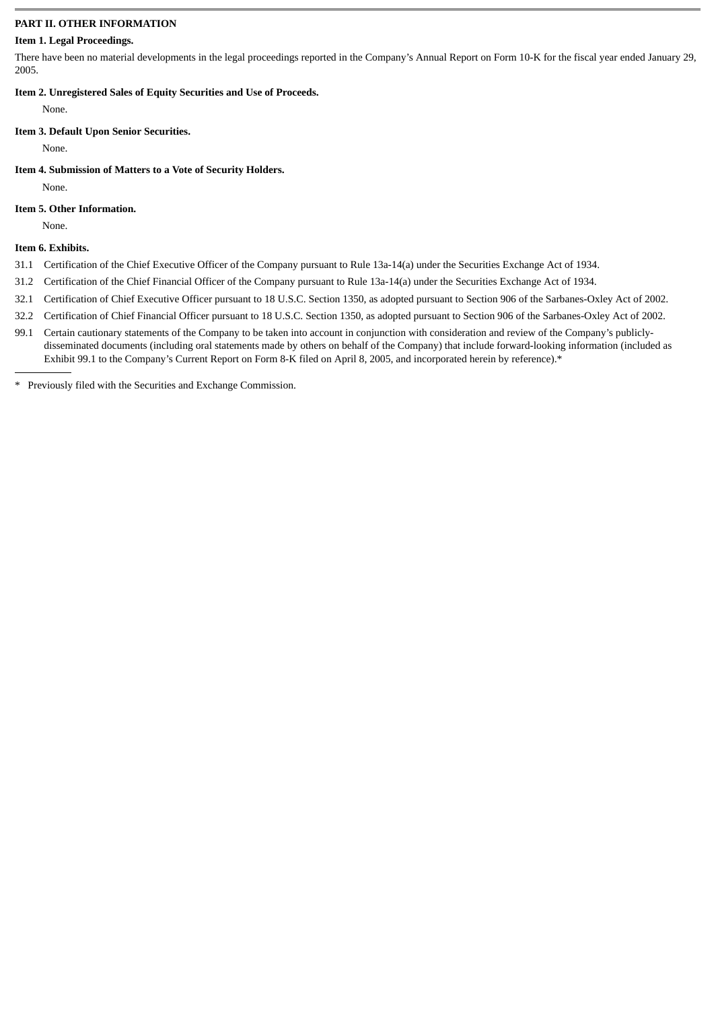## **PART II. OTHER INFORMATION**

#### **Item 1. Legal Proceedings.**

There have been no material developments in the legal proceedings reported in the Company's Annual Report on Form 10-K for the fiscal year ended January 29, 2005.

#### **Item 2. Unregistered Sales of Equity Securities and Use of Proceeds.**

None.

#### **Item 3. Default Upon Senior Securities.**

None.

#### **Item 4. Submission of Matters to a Vote of Security Holders.**

None.

#### **Item 5. Other Information.**

None.

#### **Item 6. Exhibits.**

- 31.1 Certification of the Chief Executive Officer of the Company pursuant to Rule 13a-14(a) under the Securities Exchange Act of 1934.
- 31.2 Certification of the Chief Financial Officer of the Company pursuant to Rule 13a-14(a) under the Securities Exchange Act of 1934.
- 32.1 Certification of Chief Executive Officer pursuant to 18 U.S.C. Section 1350, as adopted pursuant to Section 906 of the Sarbanes-Oxley Act of 2002.
- 32.2 Certification of Chief Financial Officer pursuant to 18 U.S.C. Section 1350, as adopted pursuant to Section 906 of the Sarbanes-Oxley Act of 2002.
- 99.1 Certain cautionary statements of the Company to be taken into account in conjunction with consideration and review of the Company's publiclydisseminated documents (including oral statements made by others on behalf of the Company) that include forward-looking information (included as Exhibit 99.1 to the Company's Current Report on Form 8-K filed on April 8, 2005, and incorporated herein by reference).\*

\* Previously filed with the Securities and Exchange Commission.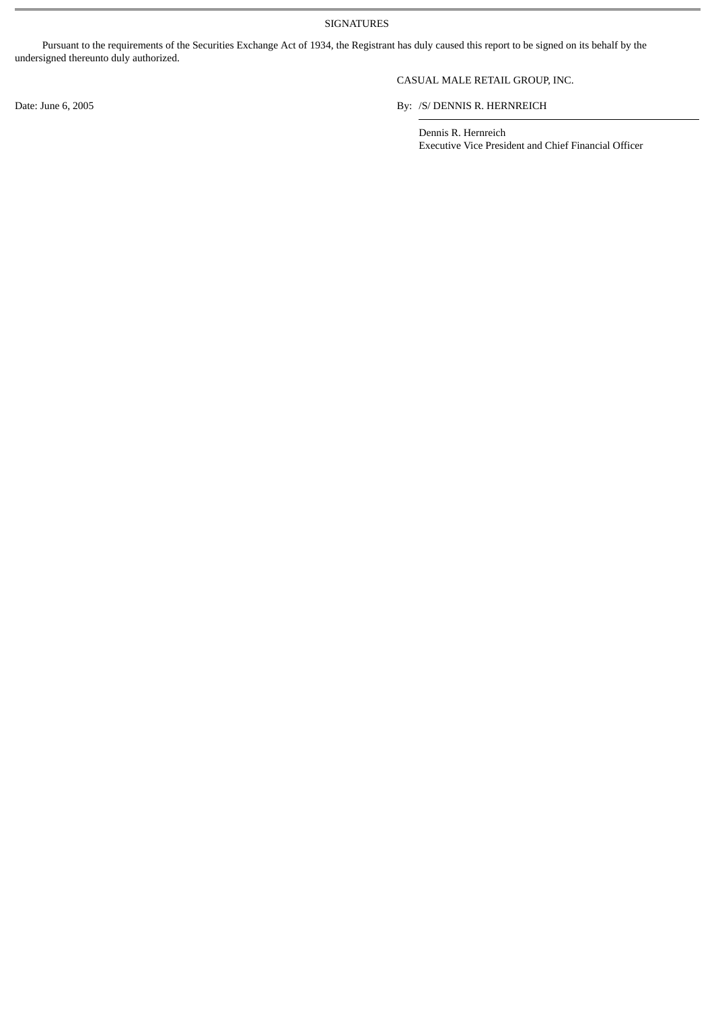SIGNATURES

Pursuant to the requirements of the Securities Exchange Act of 1934, the Registrant has duly caused this report to be signed on its behalf by the undersigned thereunto duly authorized.

CASUAL MALE RETAIL GROUP, INC.

Date: June 6, 2005 By: /S/ DENNIS R. HERNREICH

Dennis R. Hernreich Executive Vice President and Chief Financial Officer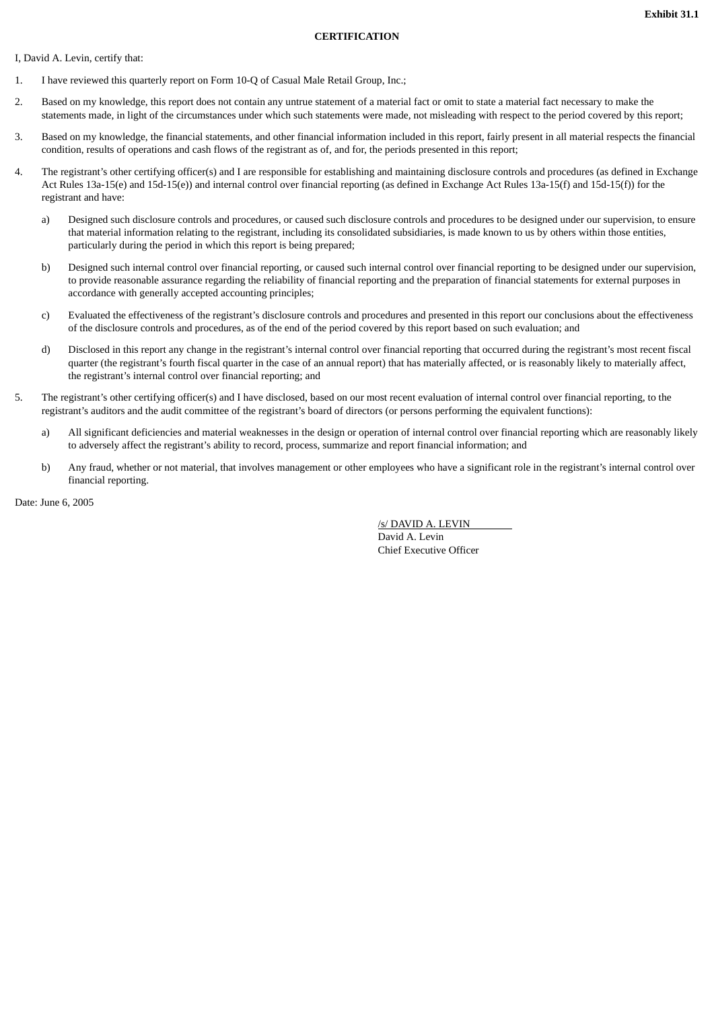#### **CERTIFICATION**

I, David A. Levin, certify that:

- 1. I have reviewed this quarterly report on Form 10-Q of Casual Male Retail Group, Inc.;
- 2. Based on my knowledge, this report does not contain any untrue statement of a material fact or omit to state a material fact necessary to make the statements made, in light of the circumstances under which such statements were made, not misleading with respect to the period covered by this report;
- 3. Based on my knowledge, the financial statements, and other financial information included in this report, fairly present in all material respects the financial condition, results of operations and cash flows of the registrant as of, and for, the periods presented in this report;
- 4. The registrant's other certifying officer(s) and I are responsible for establishing and maintaining disclosure controls and procedures (as defined in Exchange Act Rules 13a-15(e) and 15d-15(e)) and internal control over financial reporting (as defined in Exchange Act Rules 13a-15(f) and 15d-15(f)) for the registrant and have:
	- a) Designed such disclosure controls and procedures, or caused such disclosure controls and procedures to be designed under our supervision, to ensure that material information relating to the registrant, including its consolidated subsidiaries, is made known to us by others within those entities, particularly during the period in which this report is being prepared;
	- b) Designed such internal control over financial reporting, or caused such internal control over financial reporting to be designed under our supervision, to provide reasonable assurance regarding the reliability of financial reporting and the preparation of financial statements for external purposes in accordance with generally accepted accounting principles;
	- c) Evaluated the effectiveness of the registrant's disclosure controls and procedures and presented in this report our conclusions about the effectiveness of the disclosure controls and procedures, as of the end of the period covered by this report based on such evaluation; and
	- d) Disclosed in this report any change in the registrant's internal control over financial reporting that occurred during the registrant's most recent fiscal quarter (the registrant's fourth fiscal quarter in the case of an annual report) that has materially affected, or is reasonably likely to materially affect, the registrant's internal control over financial reporting; and
- 5. The registrant's other certifying officer(s) and I have disclosed, based on our most recent evaluation of internal control over financial reporting, to the registrant's auditors and the audit committee of the registrant's board of directors (or persons performing the equivalent functions):
	- a) All significant deficiencies and material weaknesses in the design or operation of internal control over financial reporting which are reasonably likely to adversely affect the registrant's ability to record, process, summarize and report financial information; and
	- b) Any fraud, whether or not material, that involves management or other employees who have a significant role in the registrant's internal control over financial reporting.

Date: June 6, 2005

/s/ DAVID A. LEVIN

David A. Levin Chief Executive Officer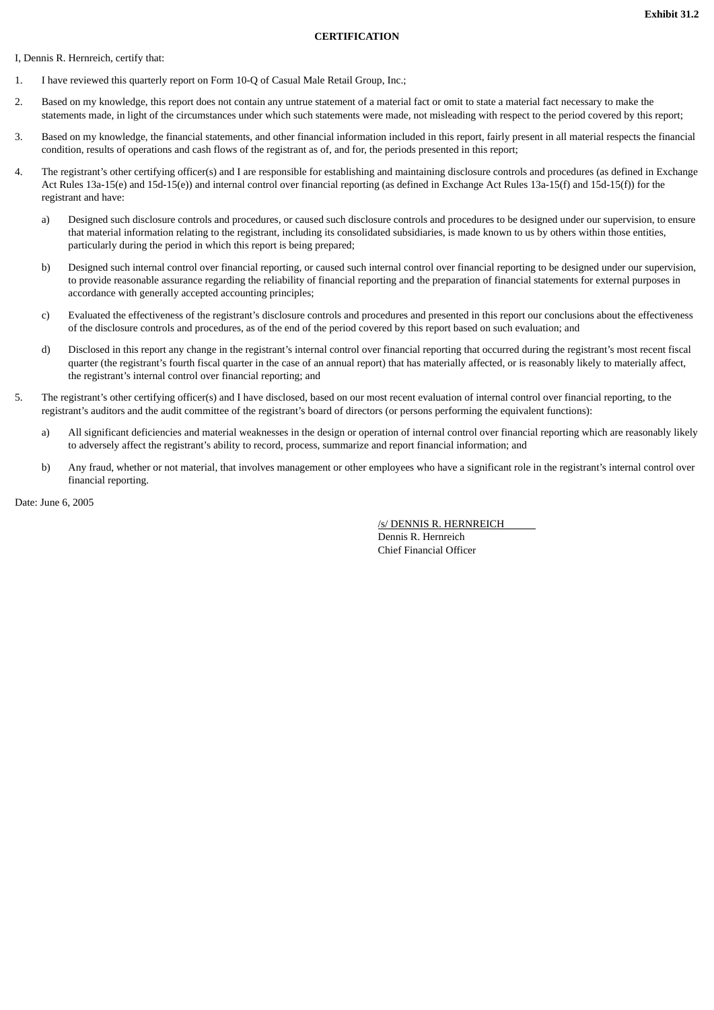#### **CERTIFICATION**

I, Dennis R. Hernreich, certify that:

- 1. I have reviewed this quarterly report on Form 10-Q of Casual Male Retail Group, Inc.;
- 2. Based on my knowledge, this report does not contain any untrue statement of a material fact or omit to state a material fact necessary to make the statements made, in light of the circumstances under which such statements were made, not misleading with respect to the period covered by this report;
- 3. Based on my knowledge, the financial statements, and other financial information included in this report, fairly present in all material respects the financial condition, results of operations and cash flows of the registrant as of, and for, the periods presented in this report;
- 4. The registrant's other certifying officer(s) and I are responsible for establishing and maintaining disclosure controls and procedures (as defined in Exchange Act Rules 13a-15(e) and 15d-15(e)) and internal control over financial reporting (as defined in Exchange Act Rules 13a-15(f) and 15d-15(f)) for the registrant and have:
	- a) Designed such disclosure controls and procedures, or caused such disclosure controls and procedures to be designed under our supervision, to ensure that material information relating to the registrant, including its consolidated subsidiaries, is made known to us by others within those entities, particularly during the period in which this report is being prepared;
	- b) Designed such internal control over financial reporting, or caused such internal control over financial reporting to be designed under our supervision, to provide reasonable assurance regarding the reliability of financial reporting and the preparation of financial statements for external purposes in accordance with generally accepted accounting principles;
	- c) Evaluated the effectiveness of the registrant's disclosure controls and procedures and presented in this report our conclusions about the effectiveness of the disclosure controls and procedures, as of the end of the period covered by this report based on such evaluation; and
	- d) Disclosed in this report any change in the registrant's internal control over financial reporting that occurred during the registrant's most recent fiscal quarter (the registrant's fourth fiscal quarter in the case of an annual report) that has materially affected, or is reasonably likely to materially affect, the registrant's internal control over financial reporting; and
- 5. The registrant's other certifying officer(s) and I have disclosed, based on our most recent evaluation of internal control over financial reporting, to the registrant's auditors and the audit committee of the registrant's board of directors (or persons performing the equivalent functions):
	- a) All significant deficiencies and material weaknesses in the design or operation of internal control over financial reporting which are reasonably likely to adversely affect the registrant's ability to record, process, summarize and report financial information; and
	- b) Any fraud, whether or not material, that involves management or other employees who have a significant role in the registrant's internal control over financial reporting.

Date: June 6, 2005

/s/ DENNIS R. HERNREICH Dennis R. Hernreich Chief Financial Officer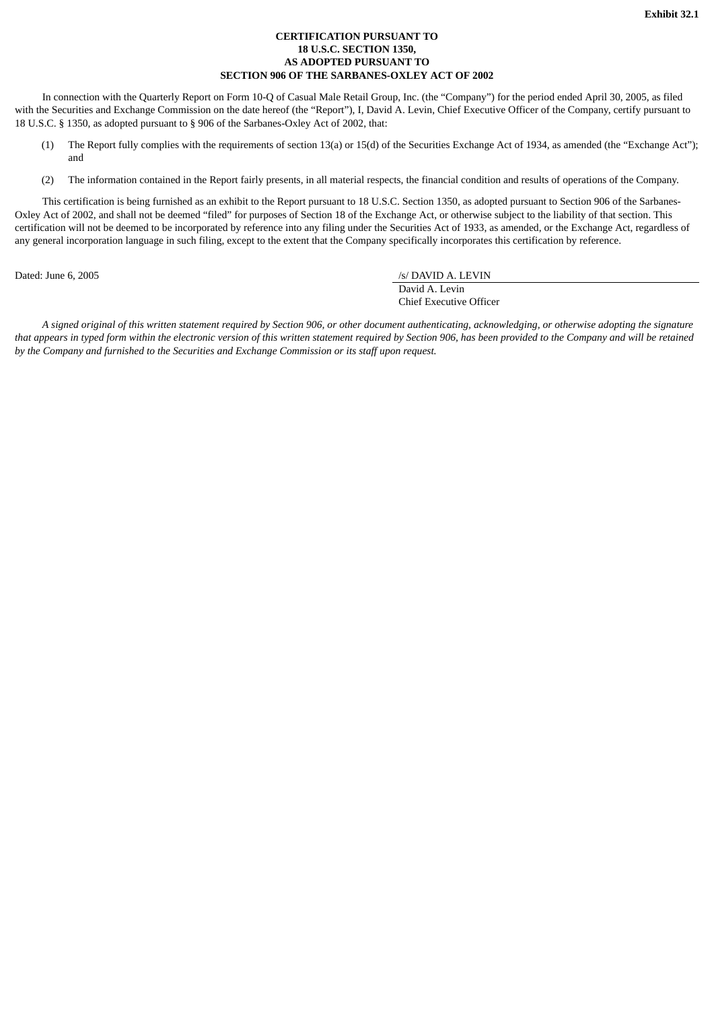## **CERTIFICATION PURSUANT TO 18 U.S.C. SECTION 1350, AS ADOPTED PURSUANT TO SECTION 906 OF THE SARBANES-OXLEY ACT OF 2002**

In connection with the Quarterly Report on Form 10-Q of Casual Male Retail Group, Inc. (the "Company") for the period ended April 30, 2005, as filed with the Securities and Exchange Commission on the date hereof (the "Report"), I, David A. Levin, Chief Executive Officer of the Company, certify pursuant to 18 U.S.C. § 1350, as adopted pursuant to § 906 of the Sarbanes-Oxley Act of 2002, that:

- (1) The Report fully complies with the requirements of section 13(a) or 15(d) of the Securities Exchange Act of 1934, as amended (the "Exchange Act"); and
- (2) The information contained in the Report fairly presents, in all material respects, the financial condition and results of operations of the Company.

This certification is being furnished as an exhibit to the Report pursuant to 18 U.S.C. Section 1350, as adopted pursuant to Section 906 of the Sarbanes-Oxley Act of 2002, and shall not be deemed "filed" for purposes of Section 18 of the Exchange Act, or otherwise subject to the liability of that section. This certification will not be deemed to be incorporated by reference into any filing under the Securities Act of 1933, as amended, or the Exchange Act, regardless of any general incorporation language in such filing, except to the extent that the Company specifically incorporates this certification by reference.

Dated: June 6, 2005 /s/ DAVID A. LEVIN David A. Levin Chief Executive Officer

*A signed original of this written statement required by Section 906, or other document authenticating, acknowledging, or otherwise adopting the signature that appears in typed form within the electronic version of this written statement required by Section 906, has been provided to the Company and will be retained by the Company and furnished to the Securities and Exchange Commission or its staff upon request.*